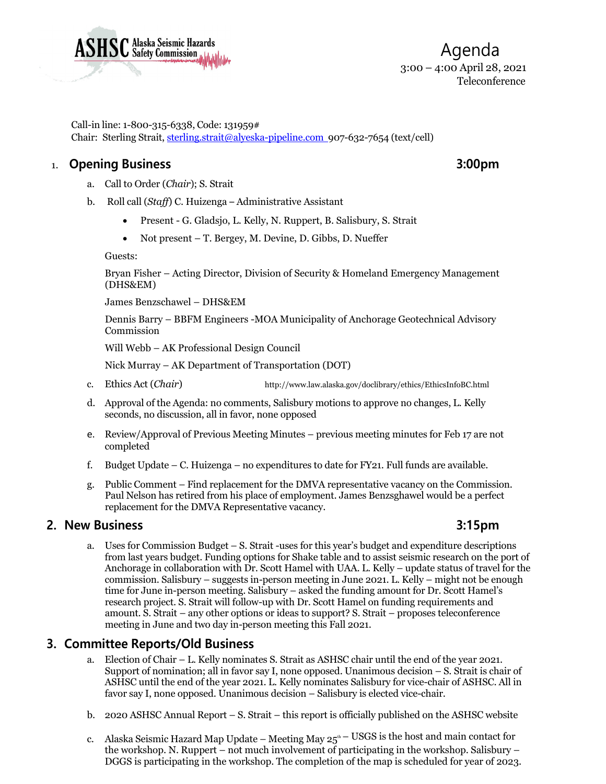

Agenda 3:00 – 4:00 April 28, 2021 Teleconference

Call-in line: 1-800-315-6338, Code: 131959# Chair: Sterling Strait[, sterling.strait@alyeska-pipeline.com](mailto:sterling.strait@alyeska-pipeline.com) 907-632-7654 (text/cell)

# 1. **Opening Business 3:00pm**

- a. Call to Order (*Chair*); S. Strait
- b. Roll call (*Staff*) C. Huizenga Administrative Assistant
	- Present G. Gladsjo, L. Kelly, N. Ruppert, B. Salisbury, S. Strait
	- Not present T. Bergey, M. Devine, D. Gibbs, D. Nueffer

Guests:

Bryan Fisher – Acting Director, Division of Security & Homeland Emergency Management (DHS&EM)

James Benzschawel – DHS&EM

Dennis Barry – BBFM Engineers -MOA Municipality of Anchorage Geotechnical Advisory Commission

Will Webb – AK Professional Design Council

Nick Murray – AK Department of Transportation (DOT)

- c. Ethics Act (*Chair*) <http://www.law.alaska.gov/doclibrary/ethics/EthicsInfoBC.html>
- d. Approval of the Agenda: no comments, Salisbury motions to approve no changes, L. Kelly seconds, no discussion, all in favor, none opposed
- e. Review/Approval of Previous Meeting Minutes previous meeting minutes for Feb 17 are not completed
- f. Budget Update C. Huizenga no expenditures to date for FY21. Full funds are available.
- g. Public Comment Find replacement for the DMVA representative vacancy on the Commission. Paul Nelson has retired from his place of employment. James Benzsghawel would be a perfect replacement for the DMVA Representative vacancy.

## **2. New Business 3:15pm**

a. Uses for Commission Budget – S. Strait -uses for this year's budget and expenditure descriptions from last years budget. Funding options for Shake table and to assist seismic research on the port of Anchorage in collaboration with Dr. Scott Hamel with UAA. L. Kelly – update status of travel for the commission. Salisbury – suggests in-person meeting in June 2021. L. Kelly – might not be enough time for June in-person meeting. Salisbury – asked the funding amount for Dr. Scott Hamel's research project. S. Strait will follow-up with Dr. Scott Hamel on funding requirements and amount. S. Strait – any other options or ideas to support? S. Strait – proposes teleconference meeting in June and two day in-person meeting this Fall 2021.

# **3. Committee Reports/Old Business**

- a. Election of Chair L. Kelly nominates S. Strait as ASHSC chair until the end of the year 2021. Support of nomination; all in favor say I, none opposed. Unanimous decision – S. Strait is chair of ASHSC until the end of the year 2021. L. Kelly nominates Salisbury for vice-chair of ASHSC. All in favor say I, none opposed. Unanimous decision – Salisbury is elected vice-chair.
- b. 2020 ASHSC Annual Report S. Strait this report is officially published on the ASHSC website
- c. Alaska Seismic Hazard Map Update Meeting May  $25<sup>th</sup>$  USGS is the host and main contact for the workshop. N. Ruppert – not much involvement of participating in the workshop. Salisbury – DGGS is participating in the workshop. The completion of the map is scheduled for year of 2023.